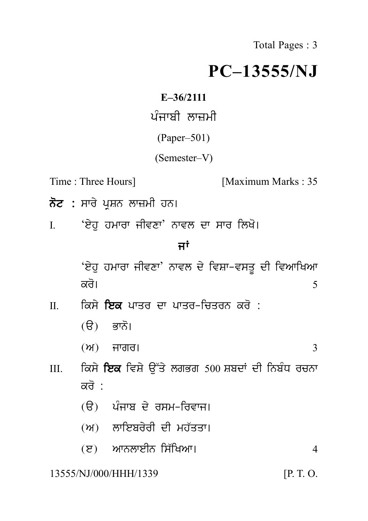Total Pages : 3

## **PC–13555/NJ**  $PC-13$ <br>E–36/2111<br>ਪੰਜਾਬੀ ਲਾਜ਼ਮੀ<br>(Paper–501)<br>(Semester V)

**E–36/2111**

(Paper–501)

(Semester–V)

Time : Three Hours] [Maximum Marks : 35

- 
- **ਨੋਟ :** ਸਾਰੇ ਪ੍ਰਸ਼ਨ ਲਾਜ਼ਮੀ ਹਨ।<br>I. ਇਹੁ ਹਮਾਰਾ ਜੀਵਣਾ' ਨਾਵਲ ਦਾ ਸਾਰ ਲਿਖੋ।<br>ਜਾਂ Time : Three Hours]<br>ਨੋਟ : ਸਾਰੇ ਪ੍ਰਸ਼ਨ ਲਾਜ਼ਮੀ ਹਨ।<br>I. 'ਏਹੁ ਹਮਾਰਾ ਜੀਵਣਾ' ਨਾਵਲ ਦਾ ਸਾਰ ਲਿਖੋ।<br>ਜਾਂ

ਾਵਲ ਦਾ ਸਾਰ ਲਿਖੋ।<br>**ਜਾਂ**<br>ਵਲ ਦੇ ਵਿਸ਼ਾ–ਵਸਤੂ ਦੀ <sup>ਵਿ</sup> 'e yh u hmwrw jIvxw' nwvl d y ivSw-vsq U dI ivAwiKAw ਕਰੋ।  $\frac{1}{5}$ ੰਏਹੁ ਹਮਾਰਾ ਜੀਵਣਾ' ਨਾਵਲ ਦੇ ਵਿਸ਼ਾ−ਵਸਤੂ ਦੀ ਵਿਆਖਿਆ<br>ਕਰੋ।<br>II. ਕਿਸੇ **ਇਕ** ਪਾਤਰ ਦਾ ਪਾਤਰ-ਚਿਤਰਨ ਕਰੋ :<br>(ੳ) ਭਾਨੋ।

- ਕਰੋ।<br>ਕਿਸੇ **ਇਕ** ਪਾਤਰ ਦਾ ਪਾਤਰ-ਚਿਤਰਨ ਕਰੋ :<br>(ੳ) ਭਾਨੋ।
	-
	- $(\mathcal{W})$  ਜਾਗਰ। 3
		-
- (ੳ) ਭਾਨੋ।<br>(ਅ) ਜਾਗਰ।<br>III. ਕਿਸੇ **ਇਕ** ਵਿਸ਼ੇ ਉੱਤੇ ਲਗਭਗ 500 ਸ਼ਬਦਾਂ ਦੀ ਨਿਬੰਧ ਰਚਨਾ<br>ਕਰੋ :<br>(ੳ) ਪੰਜਾਬ ਤੇ ਜਾਮ ਜਿਤਾਜ। (ਅ) ਜਾਗਰ।<br>(ਅ) ਜਾਗਰ।<br>ਕਿਸੇ **ਇਕ** ਵਿਸ਼ੇ ਉੱਤੇ ਲਗਭ<br>ਕਰੋ :<br>(ੳ) ਪੰਜਾਬ ਦੇ ਰਸਮ-ਰਿ <sub>(ਸ)</sub> ਜਾਗਰਾਂ<br>ਕਿਸੇ **ਇਕ** ਵਿਸ਼ੇ ਉੱਤੇ ਲਗਭਗ 500 ਸ਼ਬਦ<br>ਕਰੋ :<br>(ੳ) ਪੰਜਾਬ ਦੇ ਰਸਮ-ਰਿਵਾਜ।<br>(ਅ) ਲਾਇਬਰੇਰੀ ਦੀ ਮਹੱਤਤਾ। :\*\*\* :ਤੁਹਾਬਾਰਸ਼ ਦੂਤ ਨਸ਼ਤਤ ਤਤਤ ਸ਼ਾਸ਼ਤ ਦਾ ਜਨਸ਼<br>ਕਰੋ :<br>(ੳ) ਪੰਜਾਬ ਦੇ ਰਸਮ-ਰਿਵਾਜ।<br>(ਅ) ਲਾਇਬਰੇਰੀ ਦੀ ਮਹੱਤਤਾ।<br>(ੲ) ਆਨਲਾਈਨ ਸਿੱਖਿਆ।
	- (e) AwnlweIn is `iKAw[ <sup>4</sup>
	-
	-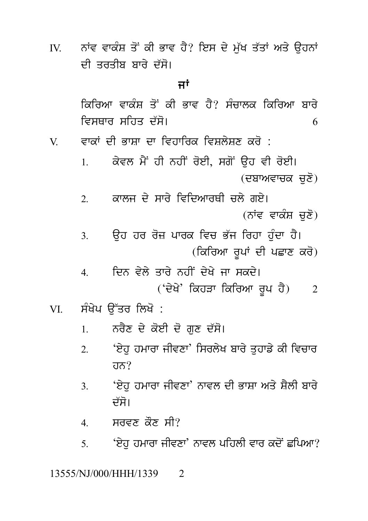IV. ਨਾਂਵ ਵਾਕੰਸ਼ ਤੋਂ ਕੀ ਭਾਵ ਹੈ? ਇਸ ਦੇ ਮੁੱਖ ਤੱਤਾਂ ਅਤੇ ਉਹਨਾਂ<br>ਦੀ ਤਰਤੀਬ ਬਾਰੇ ਦੱਸੋ।<br>ਜਾਂ ਨਾਂਵ ਵਾਕੰਸ਼ ਤੋਂ ਕੀ ਭਾਵ ਹੈ? ਇਸ ਦੇ ਮੁੱਖ ਤੱ<del>.</del><br>ਦੀ ਤਰਤੀਬ ਬਾਰੇ ਦੱਸੋ।<br>ਜਾਂ ਹੈ? ਇਸ ਦੇ ਮੁੱਖ ਤੱਤਾਂ ਅ<br>**ਜਾਂ**<br>ਭਾਵ ਹੈ? ਸੰਚਾਲਕ ਕਿਰਿ

ikirAw vwk MS q oN kI Bwv h Y? s Mcwlk ikirAw bwr y ਦਾ ਤੁਹਤਾਕ ਬਾਰ ਦਸਾ<br>ਸਾਂ<br>ਕਿਰਿਆ ਵਾਕੰਸ਼ ਤੋਂ ਕੀ ਭਾਵ ਹੈ? ਸੰਚਾਲਕ ਕਿਰਿਆ ਬਾਰੇ<br>ਵਿਸਥਾਰ ਸਹਿਤ ਦੱਸੋ।<br>ਵਾਕਾਂ ਦੀ ਭਾਸ਼ਾ ਦਾ ਵਿਹਾਰਿਕ ਵਿਸ਼ਲੇਸ਼ਣ ਕਰੋ :<br>ਕਿਸਾ ਦੇ ਤਾਂ ਦੀ ਦਾ ਹੈਂ ਹੋਏ ਹੋਏ ਹੋਏ ਹੋਏ ਹੋਏ। ਸਾਂ<br>ਕਿਰਿਆ ਵਾਕੰਸ਼ ਤੋਂ ਕੀ ਭਾਵ ਹੈ? ਸੰਚਾਲਕ ਕਿਰਿਆ ਬਾਰੇ<br>ਵਿਸਥਾਰ ਸਹਿਤ ਦੱਸੋ।<br>V. ਵਾਕਾਂ ਦੀ ਭਾਸ਼ਾ ਦਾ ਵਿਹਾਰਿਕ ਵਿਸ਼ਲੇਸ਼ਣ ਕਰੋ :<br>1. ਕੇਵਲ ਮੈਂ ਹੀ ਨਹੀਂ ਰੋਈ, ਸਗੋਂ ਉਹ ਵੀ ਰੋਈ।

ਕਿਚਿਆਂ ਵਾਕਸ਼ ਤੋਂ ਕੀ ਭਾਵ ਹੈ: ਸਰਾਲਕ ਕਿਚਿਆਂ ਬਾਰ<br>ਵਿਸਥਾਰ ਸਹਿਤ ਦੱਸੋ।<br>ਵਾਕਾਂ ਦੀ ਭਾਸ਼ਾ ਦਾ ਵਿਹਾਰਿਕ ਵਿਸ਼ਲੇਸ਼ਣ ਕਰੋ :<br>1. ਕੇਵਲ ਮੈਂ ਹੀ ਨਹੀਂ ਰੋਈ, ਸਗੋਂ ਉਹ ਵੀ ਰੋਈ।<br>(ਦਬਾਅਵਾਚਕ ਚੁਣੋਂ)<br>? ਕਾਲਜ਼ ਦੇ ਸਾਰੇ ਵਿਦਿਆਰਥੀ ਜਲੇ ਗਏ। <sup>;</sup> ਕਰੋ :<br>ਉਹ ਵੀ ਰੋਈ।<br>(ਦਬਾਅਵਾਚਕ ਚੁਣੋ)<br>ਨੇ ਗਏ।<br>(ਨਾਂਵ ਵਾਕੰਸ ਜ਼ਣੋ) ਵਾਕਾ ਦਾ ਭਾਸ਼ਾ ਦਾ ਵਿਚਾਰਕ ਜਵਸ਼ਾਨਸ਼ਣ ਕਰ .<br>1. ਕੇਵਲ ਮੈਂ ਹੀ ਨਹੀਂ ਰੋਈ, ਸਗੋਂ ਉਹ ਵੀ ਰੋਈ।<br>2. ਕਾਲਜ ਦੇ ਸਾਰੇ ਵਿਦਿਆਰਥੀ ਚਲੇ ਗਏ।<br>(ਨਾਂਵ ਵਾਕੰਸ਼ ਚੁਣੋਂ)<br>2. ਕਿਹ ਹਰ ਰੋਜ਼ ਪਾਰਕ ਵਿਚ ਕੱਚ ਰਿਹਾ ਹੰਦਾ ਹੈ।

ਤੁਹ ਵੀ ਰਈ।<br>(ਦਬਾਅਵਾਚਕ ਚੁਣੋ)<br>; ਗਏ।<br>(ਨਾਂਵ ਵਾਕੰਸ਼ ਚੁਣੋ)<br>ਰਿਹਾ ਹੁੰਦਾ ਹੈ।<br>ਜ ਦੀ ਮੁਵਾਣ ਕਰੋ) ) (ਦੁੱਖ ਅਵਾਰਕ ਚੁੱਟ)<br>2. ਕਾਲਜ ਦੇ ਸਾਰੇ ਵਿਦਿਆਰਥੀ ਚਲੇ ਗਏ।<br>3. ਉਹ ਹਰ ਰੋਜ਼ ਪਾਰਕ ਵਿਚ ਭੱਜ ਰਿਹਾ ਹੁੰਦਾ ਹੈ।<br>3. ਉਹ ਹਰ ਰੋਜ਼ ਪਾਰਕ ਵਿਚ ਭੱਜ ਰਿਹਾ ਹੁੰਦਾ ਹੈ।<br>4. ਜਿਨ ਵੇਲੇ ਤਾਰੇ ਨਹੀਂ ਦੇਖੇ ਦਾ ਸਕਦੇ।

ਦਆਰਥੀ ਚਲ ਗੲ।<br>(ਨਾਂਵ ਵਾਕੰਸ਼ ਚੁਣੋ)<br>! ਵਿਚ ਭੱਜ ਰਿਹਾ ਹੁੰਦਾ ਹੈ।<br>(ਕਿਰਿਆ ਰੂਪਾਂ ਦੀ ਪਛਾਣ ਕਰੋ)<br>| ਦੇਖੇ ਜਾ ਸਕਦੇ।<br>ਕੋਹਤਾ ਕਿਰਿਆ ਰਾ। ਹੈ) ਼ਿੰਦ ਵਾਕਸ਼ ਚੁਣ)<br>3. ਉਹ ਹਰ ਰੋਜ਼ ਪਾਰਕ ਵਿਚ ਭੱਜ ਰਿਹਾ ਹੁੰਦਾ ਹੈ।<br>4. ਦਿਨ ਵੇਲੇ ਤਾਰੇ ਨਹੀਂ ਦੇਖੇ ਜਾ ਸਕਦੇ।<br>('ਦੇਖੇ' ਕਿਹੜਾ ਕਿਰਿਆ ਰੂਪ ਹੈ) 2<br>ਸੰਮੇਮ ਉੱਤਰ ਲਿਖੋ

('d yK y' ikhVw ikirAw r Up h Y) <sup>2</sup> VI. s MK yp a u~qr ilK o :

- -
- 4. ਜਾਂਦਨ ਵੇਲ ਤਾਰੇ ਨਹੀਂ ਦੇਖ ਜਾਂ ਸਕਦਾ<br>('ਦੇਖੇ' ਕਿਹੜਾ ਕਿਰਿਆ ਰੂਪ ਹੈ)<br>ਸੰਖੇਪ ਉੱਤਰ ਲਿਖੋ :<br>1. ਨਰੈਣ ਦੇ ਕੋਈ ਦੋ ਗੁਣ ਦੱਸੋ।<br>2. 'ਏਹੁ ਹਮਾਰਾ ਜੀਵਣਾ' ਸਿਰਲੇਖ ਬਾਰੇ ਤੁਹਾਡੇ ਕੀ ਵਿਚਾਰ ਸੰਖੇਪ ਉੱਤਰ ਲਿਖੋ :<br>1. ਨਰੈਣ ਦੇ ਕੋਈ ਦੋ ਗੁਣ ਦੱਸੋ।<br>2. 'ਏਹੁ ਹਮਾਰਾ ਜੀਵਣਾ' ਸਿਰਲੇਖ ਬਾਰੇ ਤੁਹਾਡੇ ਕੀ ਵਿਚਾਰ<br>ਹਨ? ਹਨ? 1. ਪਿੰਨਣ ਦੇ ਕੋਟੀ ਦੇ ਗੁੱਟ ਦੇਸਾ।<br>2. ਇੰਹੁ ਹਮਾਰਾ ਜੀਵਣਾ' ਸਿਰਲੇਖ ਬਾਰੇ ਤੁਹਾਡੇ ਕੀ ਵਿਚਾਰ<br>ਹਨ?<br>3. ਇੰਹੁ ਹਮਾਰਾ ਜੀਵਣਾ' ਨਾਵਲ ਦੀ ਭਾਸ਼ਾ ਅਤੇ ਸ਼ੈਲੀ ਬਾਰੇ<br>ਦੱਸੋ।<br>4. ਸੂਰਵਣ ਕੌਣ ਸੀ? 'ਏਹੁ ਹਮਾਰਾ ਜੀਵਣਾ' ਸਿਰਲੇਖ ਬਾਰੇ ਤੁਹਾਡੇ ਕੀ ਵਿਚਾਰ<br>ਹਨ?<br>'ਏਹੁ ਹਮਾਰਾ ਜੀਵਣਾ' ਨਾਵਲ ਦੀ ਭਾਸ਼ਾ ਅਤੇ ਸ਼ੈਲੀ ਬਾਰੇ<br>ਦੱਸੋ।
	-

4 ਸਰਵਣ ਕੋਣ ਸੀ?

5. 'ਏਹ ਹਮਾਰਾ ਜੀਵਣਾ' ਨਾਵਲ ਪਹਿਲੀ ਵਾਰ ਕਦੋਂ ਛਪਿਆ?

## 13555/NJ/000/HHH/1339 2